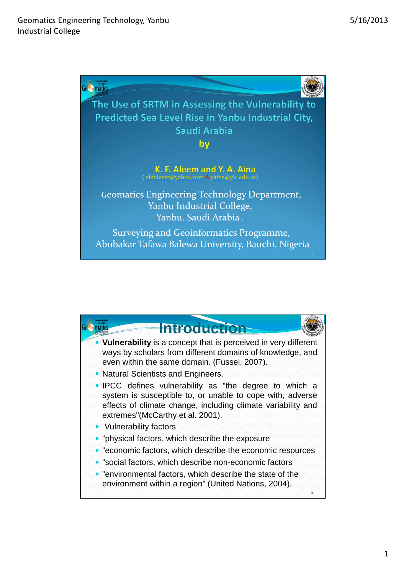

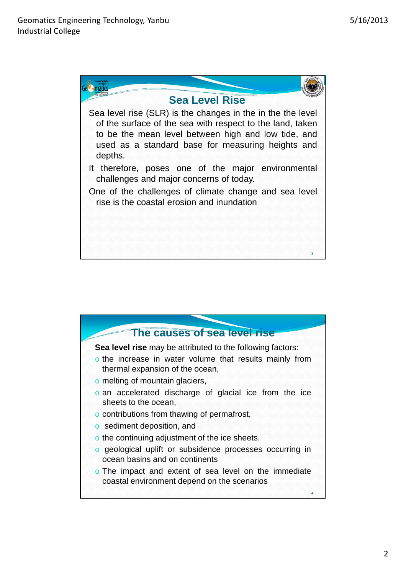

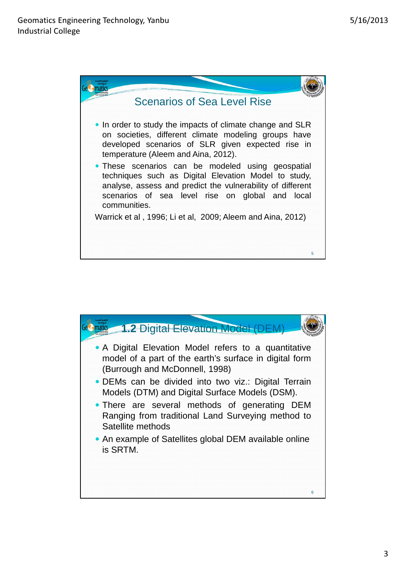

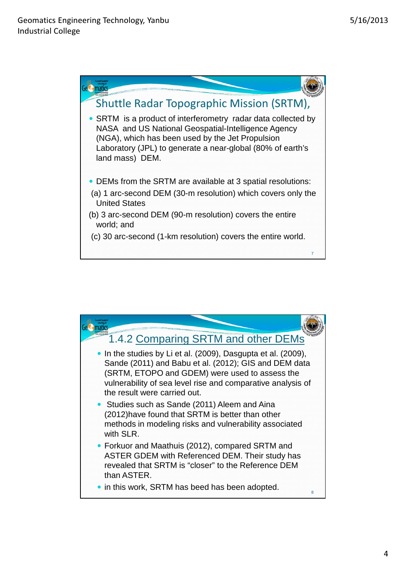

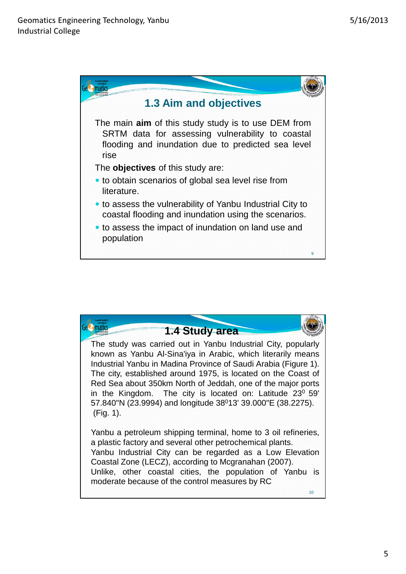

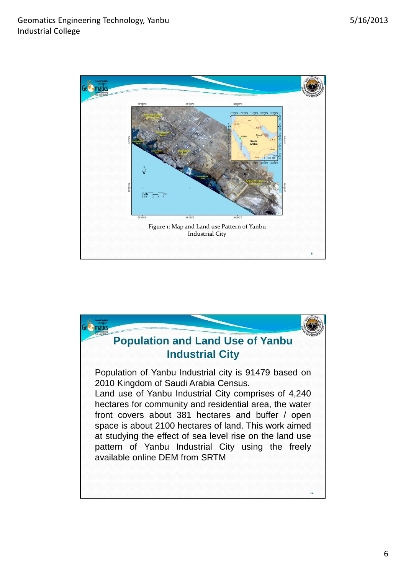

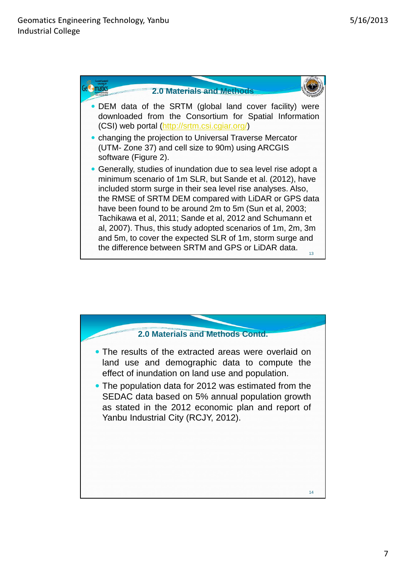

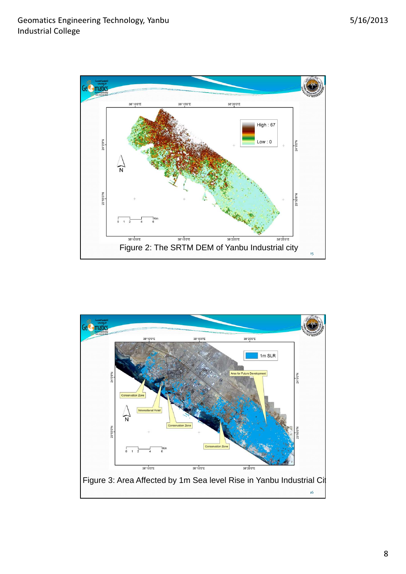

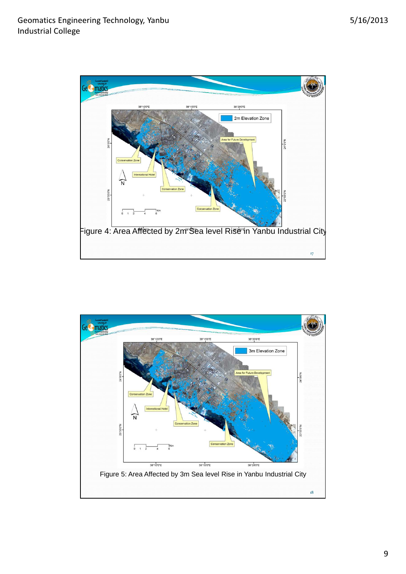

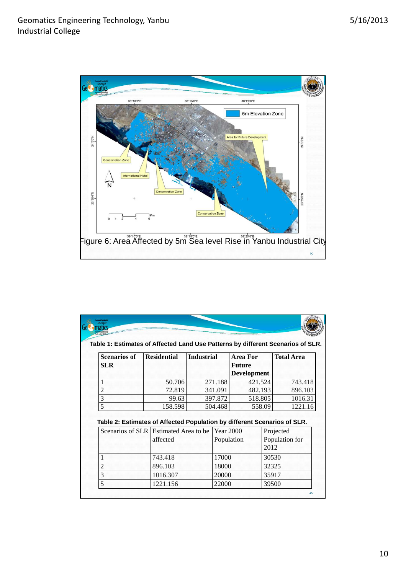

| <b>Scenarios of</b><br><b>SLR</b>                                                                                             | <b>Residential</b> | <b>Industrial</b> |                                | Area For<br><b>Future</b><br><b>Development</b> |        | <b>Total Area</b>           |
|-------------------------------------------------------------------------------------------------------------------------------|--------------------|-------------------|--------------------------------|-------------------------------------------------|--------|-----------------------------|
|                                                                                                                               |                    |                   |                                |                                                 |        |                             |
| 1                                                                                                                             | 50.706             |                   | 271.188                        | 421.524                                         |        | 743.418                     |
| $\overline{c}$                                                                                                                | 72.819             |                   | 341.091                        | 482.193                                         |        | 896.103                     |
| 3                                                                                                                             | 99.63              |                   | 397.872                        | 518.805                                         |        | 1016.31                     |
| 5                                                                                                                             | 158.598            |                   | 504.468                        |                                                 | 558.09 | 1221.16                     |
| Table 2: Estimates of Affected Population by different Scenarios of SLR.<br>Scenarios of SLR Estimated Area to be<br>affected |                    |                   | <b>Year 2000</b><br>Population |                                                 | 2012   | Projected<br>Population for |
| 1                                                                                                                             | 743.418            |                   | 17000                          |                                                 | 30530  |                             |
| 2                                                                                                                             | 896.103            |                   | 18000                          |                                                 | 32325  |                             |
| 3                                                                                                                             | 1016.307           |                   |                                | 20000                                           |        | 35917                       |
|                                                                                                                               |                    | 1221.156          |                                | 22000<br>39500                                  |        |                             |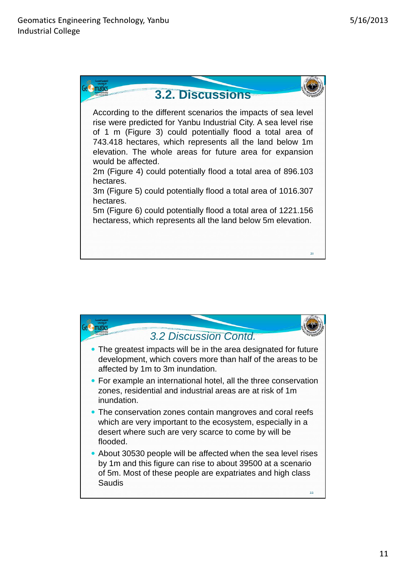